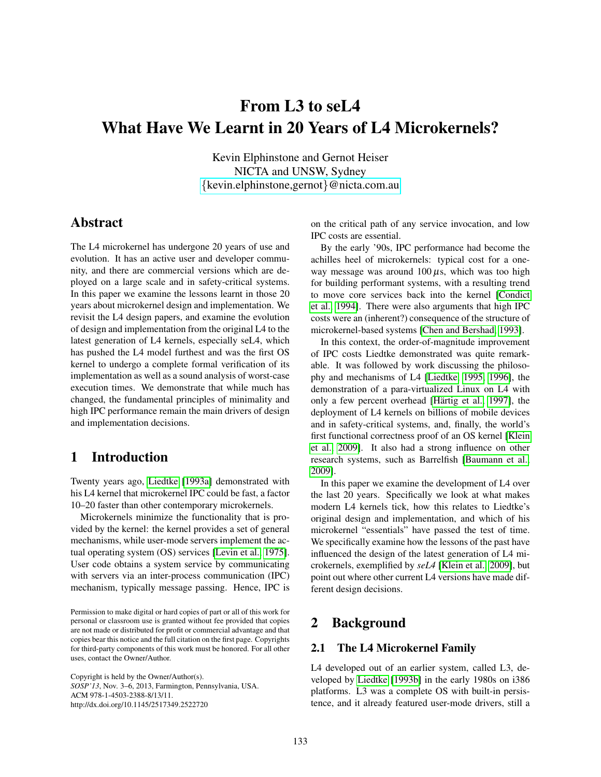# From L3 to seL4 What Have We Learnt in 20 Years of L4 Microkernels?

Kevin Elphinstone and Gernot Heiser NICTA and UNSW, Sydney {[kevin.elphinstone,gernot](mailto:kevin.elphinstone@nicta.com.au)}@nicta.com.au

# Abstract

The L4 microkernel has undergone 20 years of use and evolution. It has an active user and developer community, and there are commercial versions which are deployed on a large scale and in safety-critical systems. In this paper we examine the lessons learnt in those 20 years about microkernel design and implementation. We revisit the L4 design papers, and examine the evolution of design and implementation from the original L4 to the latest generation of L4 kernels, especially seL4, which has pushed the L4 model furthest and was the first OS kernel to undergo a complete formal verification of its implementation as well as a sound analysis of worst-case execution times. We demonstrate that while much has changed, the fundamental principles of minimality and high IPC performance remain the main drivers of design and implementation decisions.

# 1 Introduction

Twenty years ago, [Liedtke](#page-16-0) [\[1993a\]](#page-16-0) demonstrated with his L4 kernel that microkernel IPC could be fast, a factor 10–20 faster than other contemporary microkernels.

Microkernels minimize the functionality that is provided by the kernel: the kernel provides a set of general mechanisms, while user-mode servers implement the actual operating system (OS) services [\[Levin et al., 1975\]](#page-16-1). User code obtains a system service by communicating with servers via an inter-process communication (IPC) mechanism, typically message passing. Hence, IPC is

Permission to make digital or hard copies of part or all of this work for personal or classroom use is granted without fee provided that copies are not made or distributed for profit or commercial advantage and that copies bear this notice and the full citation on the first page. Copyrights for third-party components of this work must be honored. For all other uses, contact the Owner/Author.

Copyright is held by the Owner/Author(s). *SOSP'13*, Nov. 3–6, 2013, Farmington, Pennsylvania, USA. ACM 978-1-4503-2388-8/13/11. http://dx.doi.org/10.1145/2517349.2522720

on the critical path of any service invocation, and low IPC costs are essential.

By the early '90s, IPC performance had become the achilles heel of microkernels: typical cost for a oneway message was around  $100 \mu s$ , which was too high for building performant systems, with a resulting trend to move core services back into the kernel [\[Condict](#page-15-0) [et al., 1994\]](#page-15-0). There were also arguments that high IPC costs were an (inherent?) consequence of the structure of microkernel-based systems [\[Chen and Bershad, 1993\]](#page-15-1).

In this context, the order-of-magnitude improvement of IPC costs Liedtke demonstrated was quite remarkable. It was followed by work discussing the philosophy and mechanisms of L4 [\[Liedtke, 1995,](#page-16-2) [1996\]](#page-16-3), the demonstration of a para-virtualized Linux on L4 with only a few percent overhead [Härtig et al., 1997], the deployment of L4 kernels on billions of mobile devices and in safety-critical systems, and, finally, the world's first functional correctness proof of an OS kernel [\[Klein](#page-16-4) [et al., 2009\]](#page-16-4). It also had a strong influence on other research systems, such as Barrelfish [\[Baumann et al.,](#page-15-3) [2009\]](#page-15-3).

In this paper we examine the development of L4 over the last 20 years. Specifically we look at what makes modern L4 kernels tick, how this relates to Liedtke's original design and implementation, and which of his microkernel "essentials" have passed the test of time. We specifically examine how the lessons of the past have influenced the design of the latest generation of L4 microkernels, exemplified by *seL4* [\[Klein et al., 2009\]](#page-16-4), but point out where other current L4 versions have made different design decisions.

# 2 Background

### 2.1 The L4 Microkernel Family

L4 developed out of an earlier system, called L3, developed by [Liedtke](#page-16-5) [\[1993b\]](#page-16-5) in the early 1980s on i386 platforms. L3 was a complete OS with built-in persistence, and it already featured user-mode drivers, still a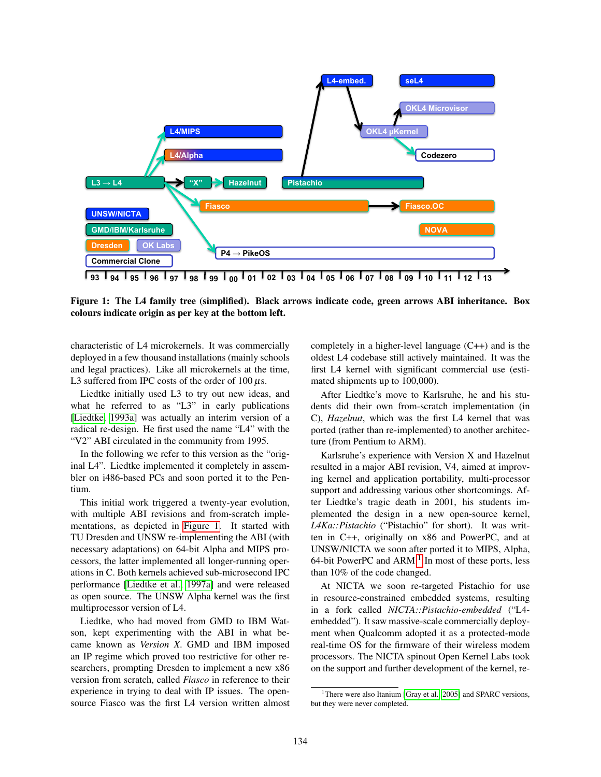<span id="page-1-0"></span>

Figure 1: The L4 family tree (simplified). Black arrows indicate code, green arrows ABI inheritance. Box colours indicate origin as per key at the bottom left.

characteristic of L4 microkernels. It was commercially deployed in a few thousand installations (mainly schools and legal practices). Like all microkernels at the time, L3 suffered from IPC costs of the order of  $100 \,\mu s$ .

Liedtke initially used L3 to try out new ideas, and what he referred to as "L3" in early publications [\[Liedtke, 1993a\]](#page-16-0) was actually an interim version of a radical re-design. He first used the name "L4" with the "V2" ABI circulated in the community from 1995.

In the following we refer to this version as the "original L4". Liedtke implemented it completely in assembler on i486-based PCs and soon ported it to the Pentium.

This initial work triggered a twenty-year evolution, with multiple ABI revisions and from-scratch implementations, as depicted in [Figure 1.](#page-1-0) It started with TU Dresden and UNSW re-implementing the ABI (with necessary adaptations) on 64-bit Alpha and MIPS processors, the latter implemented all longer-running operations in C. Both kernels achieved sub-microsecond IPC performance [\[Liedtke et al., 1997a\]](#page-16-6) and were released as open source. The UNSW Alpha kernel was the first multiprocessor version of L4.

Liedtke, who had moved from GMD to IBM Watson, kept experimenting with the ABI in what became known as *Version X*. GMD and IBM imposed an IP regime which proved too restrictive for other researchers, prompting Dresden to implement a new x86 version from scratch, called *Fiasco* in reference to their experience in trying to deal with IP issues. The opensource Fiasco was the first L4 version written almost completely in a higher-level language (C++) and is the oldest L4 codebase still actively maintained. It was the first L4 kernel with significant commercial use (estimated shipments up to 100,000).

After Liedtke's move to Karlsruhe, he and his students did their own from-scratch implementation (in C), *Hazelnut*, which was the first L4 kernel that was ported (rather than re-implemented) to another architecture (from Pentium to ARM).

Karlsruhe's experience with Version X and Hazelnut resulted in a major ABI revision, V4, aimed at improving kernel and application portability, multi-processor support and addressing various other shortcomings. After Liedtke's tragic death in 2001, his students implemented the design in a new open-source kernel, *L4Ka::Pistachio* ("Pistachio" for short). It was written in C++, originally on x86 and PowerPC, and at UNSW/NICTA we soon after ported it to MIPS, Alpha, 64-bit PowerPC and  $ARM$ .<sup>[1](#page-1-1)</sup> In most of these ports, less than 10% of the code changed.

At NICTA we soon re-targeted Pistachio for use in resource-constrained embedded systems, resulting in a fork called *NICTA::Pistachio-embedded* ("L4 embedded"). It saw massive-scale commercially deployment when Qualcomm adopted it as a protected-mode real-time OS for the firmware of their wireless modem processors. The NICTA spinout Open Kernel Labs took on the support and further development of the kernel, re-

<span id="page-1-1"></span><sup>&</sup>lt;sup>1</sup>There were also Itanium [\[Gray et al., 2005\]](#page-15-4) and SPARC versions, but they were never completed.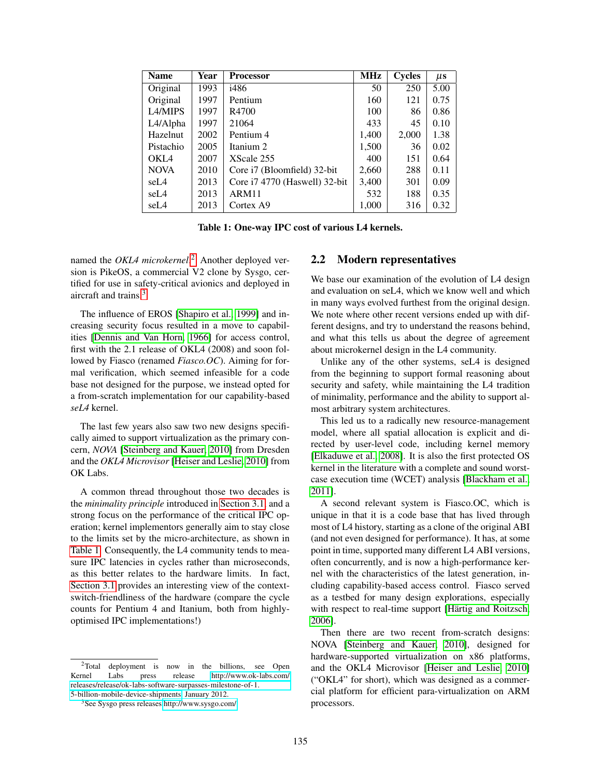<span id="page-2-2"></span>

| <b>Name</b>      | Year | <b>Processor</b>              | <b>MHz</b> | <b>Cycles</b> | $\mu$ s |
|------------------|------|-------------------------------|------------|---------------|---------|
| Original         | 1993 | i486                          | 50         | 250           | 5.00    |
| Original         | 1997 | Pentium                       | 160        | 121           | 0.75    |
| L4/MIPS          | 1997 | R <sub>4700</sub>             | 100        | 86            | 0.86    |
| L4/Alpha         | 1997 | 21064                         | 433        | 45            | 0.10    |
| Hazelnut         | 2002 | Pentium 4                     | 1,400      | 2,000         | 1.38    |
| Pistachio        | 2005 | Itanium 2                     | 1,500      | 36            | 0.02    |
| OKL <sub>4</sub> | 2007 | XScale 255                    | 400        | 151           | 0.64    |
| <b>NOVA</b>      | 2010 | Core i7 (Bloomfield) 32-bit   | 2,660      | 288           | 0.11    |
| seL4             | 2013 | Core i7 4770 (Haswell) 32-bit | 3,400      | 301           | 0.09    |
| seL4             | 2013 | ARM <sub>11</sub>             | 532        | 188           | 0.35    |
| seL4             | 2013 | Cortex A9                     | 1,000      | 316           | 0.32    |

Table 1: One-way IPC cost of various L4 kernels.

named the *OKL4 microkernel*. [2](#page-2-0) Another deployed version is PikeOS, a commercial V2 clone by Sysgo, certified for use in safety-critical avionics and deployed in aircraft and trains. $3$ 

The influence of EROS [\[Shapiro et al., 1999\]](#page-17-0) and increasing security focus resulted in a move to capabilities [\[Dennis and Van Horn, 1966\]](#page-15-5) for access control, first with the 2.1 release of OKL4 (2008) and soon followed by Fiasco (renamed *Fiasco.OC*). Aiming for formal verification, which seemed infeasible for a code base not designed for the purpose, we instead opted for a from-scratch implementation for our capability-based *seL4* kernel.

The last few years also saw two new designs specifically aimed to support virtualization as the primary concern, *NOVA* [\[Steinberg and Kauer, 2010\]](#page-17-1) from Dresden and the *OKL4 Microvisor* [\[Heiser and Leslie, 2010\]](#page-15-6) from OK Labs.

A common thread throughout those two decades is the *minimality principle* introduced in [Section 3.1,](#page-3-0) and a strong focus on the performance of the critical IPC operation; kernel implementors generally aim to stay close to the limits set by the micro-architecture, as shown in [Table 1.](#page-2-2) Consequently, the L4 community tends to measure IPC latencies in cycles rather than microseconds, as this better relates to the hardware limits. In fact, [Section 3.1](#page-3-0) provides an interesting view of the contextswitch-friendliness of the hardware (compare the cycle counts for Pentium 4 and Itanium, both from highlyoptimised IPC implementations!)

#### 2.2 Modern representatives

We base our examination of the evolution of L4 design and evaluation on seL4, which we know well and which in many ways evolved furthest from the original design. We note where other recent versions ended up with different designs, and try to understand the reasons behind, and what this tells us about the degree of agreement about microkernel design in the L4 community.

Unlike any of the other systems, seL4 is designed from the beginning to support formal reasoning about security and safety, while maintaining the L4 tradition of minimality, performance and the ability to support almost arbitrary system architectures.

This led us to a radically new resource-management model, where all spatial allocation is explicit and directed by user-level code, including kernel memory [\[Elkaduwe et al., 2008\]](#page-15-7). It is also the first protected OS kernel in the literature with a complete and sound worstcase execution time (WCET) analysis [\[Blackham et al.,](#page-15-8) [2011\]](#page-15-8).

A second relevant system is Fiasco.OC, which is unique in that it is a code base that has lived through most of L4 history, starting as a clone of the original ABI (and not even designed for performance). It has, at some point in time, supported many different L4 ABI versions, often concurrently, and is now a high-performance kernel with the characteristics of the latest generation, including capability-based access control. Fiasco served as a testbed for many design explorations, especially with respect to real-time support [Härtig and Roitzsch, [2006\]](#page-15-9).

Then there are two recent from-scratch designs: NOVA [\[Steinberg and Kauer, 2010\]](#page-17-1), designed for hardware-supported virtualization on x86 platforms, and the OKL4 Microvisor [\[Heiser and Leslie, 2010\]](#page-15-6) ("OKL4" for short), which was designed as a commercial platform for efficient para-virtualization on ARM processors.

<span id="page-2-0"></span><sup>&</sup>lt;sup>2</sup>Total deployment is now in the billions, see Open Kernel Labs press release [http://www.ok-labs.com/](http://www.ok-labs.com/releases/release/ok-labs-software-surpasses-milestone-of-1.5-billion-mobile-device-shipments) [releases/release/ok-labs-software-surpasses-milestone-of-1.](http://www.ok-labs.com/releases/release/ok-labs-software-surpasses-milestone-of-1.5-billion-mobile-device-shipments) [5-billion-mobile-device-shipments,](http://www.ok-labs.com/releases/release/ok-labs-software-surpasses-milestone-of-1.5-billion-mobile-device-shipments) January 2012.

<span id="page-2-1"></span>

<sup>3</sup>See Sysgo press releases [http://www.sysgo.com/.](http://www.sysgo.com/)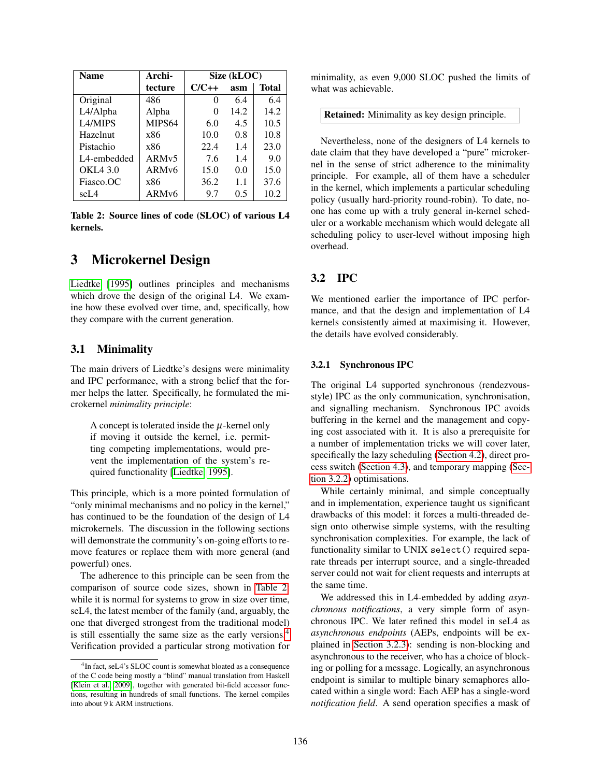<span id="page-3-1"></span>

| <b>Name</b>      | Archi-             | Size (kLOC) |      |              |
|------------------|--------------------|-------------|------|--------------|
|                  | tecture            | $C/C++$     | asm  | <b>Total</b> |
| Original         | 486                | 0           | 6.4  | 6.4          |
| L4/Alpha         | Alpha              | 0           | 14.2 | 14.2         |
| L4/MIPS          | MIPS64             | 6.0         | 4.5  | 10.5         |
| Hazelnut         | x86                | 10.0        | 0.8  | 10.8         |
| Pistachio        | x86                | 22.4        | 1.4  | 23.0         |
| L4-embedded      | ARM <sub>v5</sub>  | 7.6         | 1.4  | 9.0          |
| <b>OKL43.0</b>   | ARM <sub>v</sub> 6 | 15.0        | 0.0  | 15.0         |
| Fiasco.OC        | x86                | 36.2        | 1.1  | 37.6         |
| seL <sub>4</sub> | ARM <sub>v6</sub>  | 9.7         | 0.5  | 10.2         |

Table 2: Source lines of code (SLOC) of various L4 kernels.

# 3 Microkernel Design

[Liedtke](#page-16-2) [\[1995\]](#page-16-2) outlines principles and mechanisms which drove the design of the original L4. We examine how these evolved over time, and, specifically, how they compare with the current generation.

### <span id="page-3-0"></span>3.1 Minimality

The main drivers of Liedtke's designs were minimality and IPC performance, with a strong belief that the former helps the latter. Specifically, he formulated the microkernel *minimality principle*:

A concept is tolerated inside the  $\mu$ -kernel only if moving it outside the kernel, i.e. permitting competing implementations, would prevent the implementation of the system's required functionality [\[Liedtke, 1995\]](#page-16-2).

This principle, which is a more pointed formulation of "only minimal mechanisms and no policy in the kernel," has continued to be the foundation of the design of L4 microkernels. The discussion in the following sections will demonstrate the community's on-going efforts to remove features or replace them with more general (and powerful) ones.

The adherence to this principle can be seen from the comparison of source code sizes, shown in [Table 2:](#page-3-1) while it is normal for systems to grow in size over time, seL4, the latest member of the family (and, arguably, the one that diverged strongest from the traditional model) is still essentially the same size as the early versions.<sup>[4](#page-3-2)</sup> Verification provided a particular strong motivation for minimality, as even 9,000 SLOC pushed the limits of what was achievable.

Retained: Minimality as key design principle.

Nevertheless, none of the designers of L4 kernels to date claim that they have developed a "pure" microkernel in the sense of strict adherence to the minimality principle. For example, all of them have a scheduler in the kernel, which implements a particular scheduling policy (usually hard-priority round-robin). To date, noone has come up with a truly general in-kernel scheduler or a workable mechanism which would delegate all scheduling policy to user-level without imposing high overhead.

# 3.2 IPC

We mentioned earlier the importance of IPC performance, and that the design and implementation of L4 kernels consistently aimed at maximising it. However, the details have evolved considerably.

#### 3.2.1 Synchronous IPC

The original L4 supported synchronous (rendezvousstyle) IPC as the only communication, synchronisation, and signalling mechanism. Synchronous IPC avoids buffering in the kernel and the management and copying cost associated with it. It is also a prerequisite for a number of implementation tricks we will cover later, specifically the lazy scheduling [\(Section 4.2\)](#page-11-0), direct process switch [\(Section 4.3\)](#page-12-0), and temporary mapping [\(Sec](#page-4-0)[tion 3.2.2\)](#page-4-0) optimisations.

While certainly minimal, and simple conceptually and in implementation, experience taught us significant drawbacks of this model: it forces a multi-threaded design onto otherwise simple systems, with the resulting synchronisation complexities. For example, the lack of functionality similar to UNIX select() required separate threads per interrupt source, and a single-threaded server could not wait for client requests and interrupts at the same time.

We addressed this in L4-embedded by adding *asynchronous notifications*, a very simple form of asynchronous IPC. We later refined this model in seL4 as *asynchronous endpoints* (AEPs, endpoints will be explained in [Section 3.2.3\)](#page-5-0): sending is non-blocking and asynchronous to the receiver, who has a choice of blocking or polling for a message. Logically, an asynchronous endpoint is similar to multiple binary semaphores allocated within a single word: Each AEP has a single-word *notification field*. A send operation specifies a mask of

<span id="page-3-2"></span><sup>&</sup>lt;sup>4</sup>In fact, seL4's SLOC count is somewhat bloated as a consequence of the C code being mostly a "blind" manual translation from Haskell [\[Klein et al., 2009\]](#page-16-4), together with generated bit-field accessor functions, resulting in hundreds of small functions. The kernel compiles into about 9 k ARM instructions.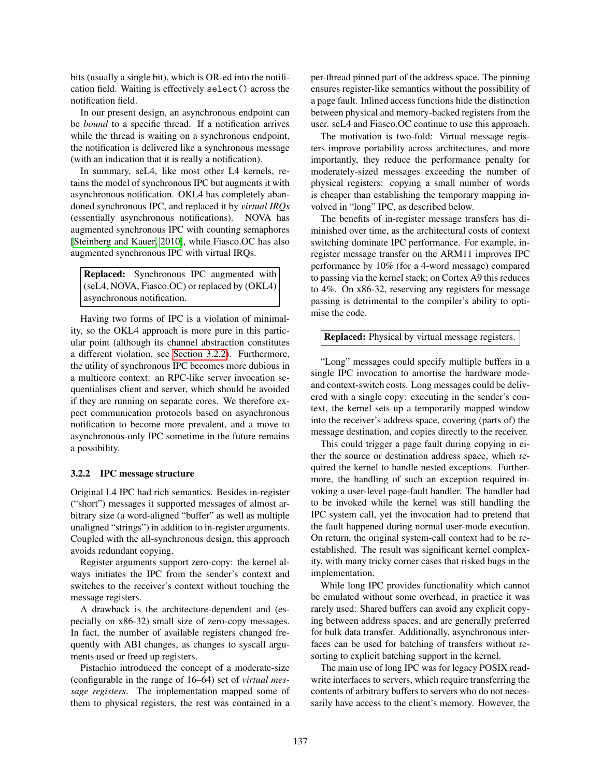bits (usually a single bit), which is OR-ed into the notification field. Waiting is effectively select() across the notification field.

In our present design, an asynchronous endpoint can be *bound* to a specific thread. If a notification arrives while the thread is waiting on a synchronous endpoint, the notification is delivered like a synchronous message (with an indication that it is really a notification).

In summary, seL4, like most other L4 kernels, retains the model of synchronous IPC but augments it with asynchronous notification. OKL4 has completely abandoned synchronous IPC, and replaced it by *virtual IRQs* (essentially asynchronous notifications). NOVA has augmented synchronous IPC with counting semaphores [\[Steinberg and Kauer, 2010\]](#page-17-1), while Fiasco.OC has also augmented synchronous IPC with virtual IRQs.

Replaced: Synchronous IPC augmented with (seL4, NOVA, Fiasco.OC) or replaced by (OKL4) asynchronous notification.

Having two forms of IPC is a violation of minimality, so the OKL4 approach is more pure in this particular point (although its channel abstraction constitutes a different violation, see [Section 3.2.2\)](#page-4-0). Furthermore, the utility of synchronous IPC becomes more dubious in a multicore context: an RPC-like server invocation sequentialises client and server, which should be avoided if they are running on separate cores. We therefore expect communication protocols based on asynchronous notification to become more prevalent, and a move to asynchronous-only IPC sometime in the future remains a possibility.

#### <span id="page-4-0"></span>3.2.2 IPC message structure

Original L4 IPC had rich semantics. Besides in-register ("short") messages it supported messages of almost arbitrary size (a word-aligned "buffer" as well as multiple unaligned "strings") in addition to in-register arguments. Coupled with the all-synchronous design, this approach avoids redundant copying.

Register arguments support zero-copy: the kernel always initiates the IPC from the sender's context and switches to the receiver's context without touching the message registers.

A drawback is the architecture-dependent and (especially on x86-32) small size of zero-copy messages. In fact, the number of available registers changed frequently with ABI changes, as changes to syscall arguments used or freed up registers.

Pistachio introduced the concept of a moderate-size (configurable in the range of 16–64) set of *virtual message registers*. The implementation mapped some of them to physical registers, the rest was contained in a per-thread pinned part of the address space. The pinning ensures register-like semantics without the possibility of a page fault. Inlined access functions hide the distinction between physical and memory-backed registers from the user. seL4 and Fiasco.OC continue to use this approach.

The motivation is two-fold: Virtual message registers improve portability across architectures, and more importantly, they reduce the performance penalty for moderately-sized messages exceeding the number of physical registers: copying a small number of words is cheaper than establishing the temporary mapping involved in "long" IPC, as described below.

The benefits of in-register message transfers has diminished over time, as the architectural costs of context switching dominate IPC performance. For example, inregister message transfer on the ARM11 improves IPC performance by 10% (for a 4-word message) compared to passing via the kernel stack; on Cortex A9 this reduces to 4%. On x86-32, reserving any registers for message passing is detrimental to the compiler's ability to optimise the code.

#### Replaced: Physical by virtual message registers.

"Long" messages could specify multiple buffers in a single IPC invocation to amortise the hardware modeand context-switch costs. Long messages could be delivered with a single copy: executing in the sender's context, the kernel sets up a temporarily mapped window into the receiver's address space, covering (parts of) the message destination, and copies directly to the receiver.

This could trigger a page fault during copying in either the source or destination address space, which required the kernel to handle nested exceptions. Furthermore, the handling of such an exception required invoking a user-level page-fault handler. The handler had to be invoked while the kernel was still handling the IPC system call, yet the invocation had to pretend that the fault happened during normal user-mode execution. On return, the original system-call context had to be reestablished. The result was significant kernel complexity, with many tricky corner cases that risked bugs in the implementation.

While long IPC provides functionality which cannot be emulated without some overhead, in practice it was rarely used: Shared buffers can avoid any explicit copying between address spaces, and are generally preferred for bulk data transfer. Additionally, asynchronous interfaces can be used for batching of transfers without resorting to explicit batching support in the kernel.

The main use of long IPC was for legacy POSIX readwrite interfaces to servers, which require transferring the contents of arbitrary buffers to servers who do not necessarily have access to the client's memory. However, the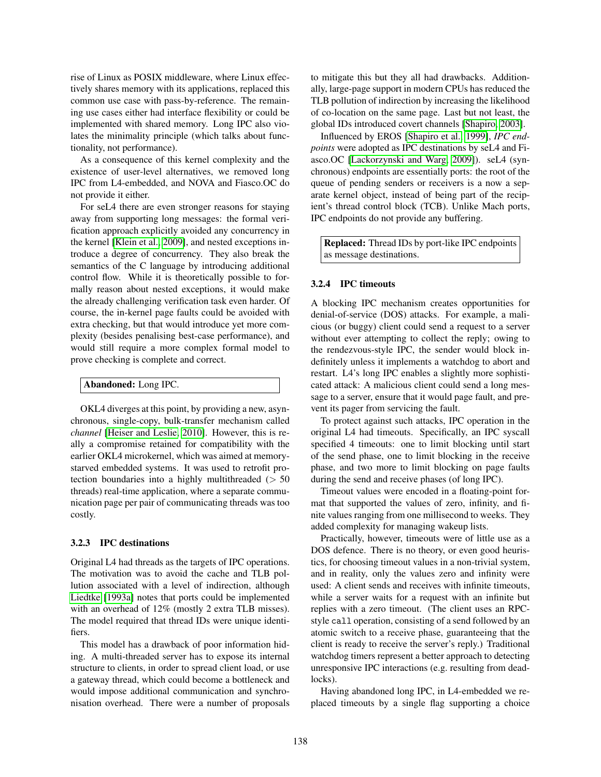rise of Linux as POSIX middleware, where Linux effectively shares memory with its applications, replaced this common use case with pass-by-reference. The remaining use cases either had interface flexibility or could be implemented with shared memory. Long IPC also violates the minimality principle (which talks about functionality, not performance).

As a consequence of this kernel complexity and the existence of user-level alternatives, we removed long IPC from L4-embedded, and NOVA and Fiasco.OC do not provide it either.

For seL4 there are even stronger reasons for staying away from supporting long messages: the formal verification approach explicitly avoided any concurrency in the kernel [\[Klein et al., 2009\]](#page-16-4), and nested exceptions introduce a degree of concurrency. They also break the semantics of the C language by introducing additional control flow. While it is theoretically possible to formally reason about nested exceptions, it would make the already challenging verification task even harder. Of course, the in-kernel page faults could be avoided with extra checking, but that would introduce yet more complexity (besides penalising best-case performance), and would still require a more complex formal model to prove checking is complete and correct.

#### Abandoned: Long IPC.

OKL4 diverges at this point, by providing a new, asynchronous, single-copy, bulk-transfer mechanism called *channel* [\[Heiser and Leslie, 2010\]](#page-15-6). However, this is really a compromise retained for compatibility with the earlier OKL4 microkernel, which was aimed at memorystarved embedded systems. It was used to retrofit protection boundaries into a highly multithreaded (> 50 threads) real-time application, where a separate communication page per pair of communicating threads was too costly.

#### <span id="page-5-0"></span>3.2.3 IPC destinations

Original L4 had threads as the targets of IPC operations. The motivation was to avoid the cache and TLB pollution associated with a level of indirection, although [Liedtke](#page-16-0) [\[1993a\]](#page-16-0) notes that ports could be implemented with an overhead of 12% (mostly 2 extra TLB misses). The model required that thread IDs were unique identifiers.

This model has a drawback of poor information hiding. A multi-threaded server has to expose its internal structure to clients, in order to spread client load, or use a gateway thread, which could become a bottleneck and would impose additional communication and synchronisation overhead. There were a number of proposals to mitigate this but they all had drawbacks. Additionally, large-page support in modern CPUs has reduced the TLB pollution of indirection by increasing the likelihood of co-location on the same page. Last but not least, the global IDs introduced covert channels [\[Shapiro, 2003\]](#page-17-2).

Influenced by EROS [\[Shapiro et al., 1999\]](#page-17-0), *IPC endpoints* were adopted as IPC destinations by seL4 and Fiasco.OC [\[Lackorzynski and Warg, 2009\]](#page-16-7)). seL4 (synchronous) endpoints are essentially ports: the root of the queue of pending senders or receivers is a now a separate kernel object, instead of being part of the recipient's thread control block (TCB). Unlike Mach ports, IPC endpoints do not provide any buffering.

Replaced: Thread IDs by port-like IPC endpoints as message destinations.

#### <span id="page-5-1"></span>3.2.4 IPC timeouts

A blocking IPC mechanism creates opportunities for denial-of-service (DOS) attacks. For example, a malicious (or buggy) client could send a request to a server without ever attempting to collect the reply; owing to the rendezvous-style IPC, the sender would block indefinitely unless it implements a watchdog to abort and restart. L4's long IPC enables a slightly more sophisticated attack: A malicious client could send a long message to a server, ensure that it would page fault, and prevent its pager from servicing the fault.

To protect against such attacks, IPC operation in the original L4 had timeouts. Specifically, an IPC syscall specified 4 timeouts: one to limit blocking until start of the send phase, one to limit blocking in the receive phase, and two more to limit blocking on page faults during the send and receive phases (of long IPC).

Timeout values were encoded in a floating-point format that supported the values of zero, infinity, and finite values ranging from one millisecond to weeks. They added complexity for managing wakeup lists.

Practically, however, timeouts were of little use as a DOS defence. There is no theory, or even good heuristics, for choosing timeout values in a non-trivial system, and in reality, only the values zero and infinity were used: A client sends and receives with infinite timeouts, while a server waits for a request with an infinite but replies with a zero timeout. (The client uses an RPCstyle call operation, consisting of a send followed by an atomic switch to a receive phase, guaranteeing that the client is ready to receive the server's reply.) Traditional watchdog timers represent a better approach to detecting unresponsive IPC interactions (e.g. resulting from deadlocks).

Having abandoned long IPC, in L4-embedded we replaced timeouts by a single flag supporting a choice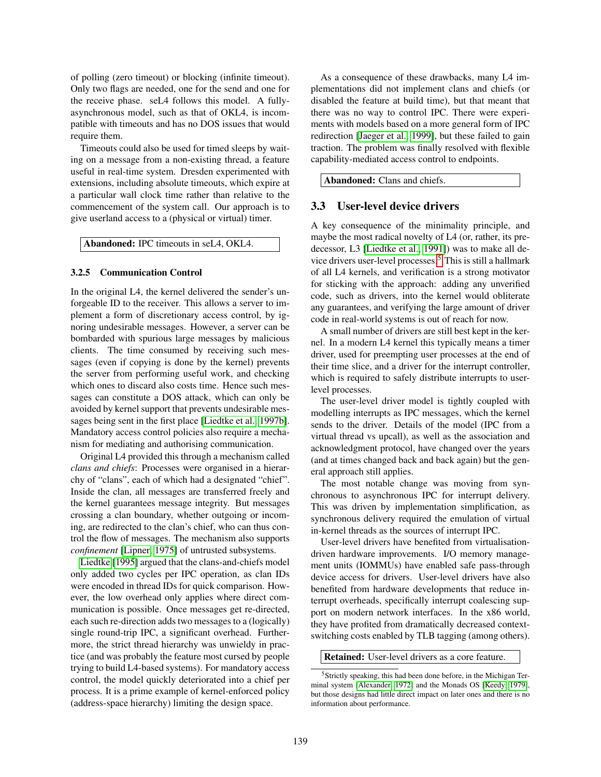of polling (zero timeout) or blocking (infinite timeout). Only two flags are needed, one for the send and one for the receive phase. seL4 follows this model. A fullyasynchronous model, such as that of OKL4, is incompatible with timeouts and has no DOS issues that would require them.

Timeouts could also be used for timed sleeps by waiting on a message from a non-existing thread, a feature useful in real-time system. Dresden experimented with extensions, including absolute timeouts, which expire at a particular wall clock time rather than relative to the commencement of the system call. Our approach is to give userland access to a (physical or virtual) timer.

Abandoned: IPC timeouts in seL4, OKL4.

#### <span id="page-6-1"></span>3.2.5 Communication Control

In the original L4, the kernel delivered the sender's unforgeable ID to the receiver. This allows a server to implement a form of discretionary access control, by ignoring undesirable messages. However, a server can be bombarded with spurious large messages by malicious clients. The time consumed by receiving such messages (even if copying is done by the kernel) prevents the server from performing useful work, and checking which ones to discard also costs time. Hence such messages can constitute a DOS attack, which can only be avoided by kernel support that prevents undesirable messages being sent in the first place [\[Liedtke et al., 1997b\]](#page-16-8). Mandatory access control policies also require a mechanism for mediating and authorising communication.

Original L4 provided this through a mechanism called *clans and chiefs*: Processes were organised in a hierarchy of "clans", each of which had a designated "chief". Inside the clan, all messages are transferred freely and the kernel guarantees message integrity. But messages crossing a clan boundary, whether outgoing or incoming, are redirected to the clan's chief, who can thus control the flow of messages. The mechanism also supports *confinement* [\[Lipner, 1975\]](#page-16-9) of untrusted subsystems.

[Liedtke](#page-16-2) [\[1995\]](#page-16-2) argued that the clans-and-chiefs model only added two cycles per IPC operation, as clan IDs were encoded in thread IDs for quick comparison. However, the low overhead only applies where direct communication is possible. Once messages get re-directed, each such re-direction adds two messages to a (logically) single round-trip IPC, a significant overhead. Furthermore, the strict thread hierarchy was unwieldy in practice (and was probably the feature most cursed by people trying to build L4-based systems). For mandatory access control, the model quickly deteriorated into a chief per process. It is a prime example of kernel-enforced policy (address-space hierarchy) limiting the design space.

As a consequence of these drawbacks, many L4 implementations did not implement clans and chiefs (or disabled the feature at build time), but that meant that there was no way to control IPC. There were experiments with models based on a more general form of IPC redirection [\[Jaeger et al., 1999\]](#page-15-10), but these failed to gain traction. The problem was finally resolved with flexible capability-mediated access control to endpoints.

Abandoned: Clans and chiefs.

#### 3.3 User-level device drivers

A key consequence of the minimality principle, and maybe the most radical novelty of L4 (or, rather, its predecessor, L3 [\[Liedtke et al., 1991\]](#page-16-10)) was to make all de-vice drivers user-level processes.<sup>[5](#page-6-0)</sup> This is still a hallmark of all L4 kernels, and verification is a strong motivator for sticking with the approach: adding any unverified code, such as drivers, into the kernel would obliterate any guarantees, and verifying the large amount of driver code in real-world systems is out of reach for now.

A small number of drivers are still best kept in the kernel. In a modern L4 kernel this typically means a timer driver, used for preempting user processes at the end of their time slice, and a driver for the interrupt controller, which is required to safely distribute interrupts to userlevel processes.

The user-level driver model is tightly coupled with modelling interrupts as IPC messages, which the kernel sends to the driver. Details of the model (IPC from a virtual thread vs upcall), as well as the association and acknowledgment protocol, have changed over the years (and at times changed back and back again) but the general approach still applies.

The most notable change was moving from synchronous to asynchronous IPC for interrupt delivery. This was driven by implementation simplification, as synchronous delivery required the emulation of virtual in-kernel threads as the sources of interrupt IPC.

User-level drivers have benefited from virtualisationdriven hardware improvements. I/O memory management units (IOMMUs) have enabled safe pass-through device access for drivers. User-level drivers have also benefited from hardware developments that reduce interrupt overheads, specifically interrupt coalescing support on modern network interfaces. In the x86 world, they have profited from dramatically decreased contextswitching costs enabled by TLB tagging (among others).

Retained: User-level drivers as a core feature.

<span id="page-6-0"></span><sup>5</sup>Strictly speaking, this had been done before, in the Michigan Terminal system [\[Alexander, 1972\]](#page-14-0) and the Monads OS [\[Keedy, 1979\]](#page-15-11), but those designs had little direct impact on later ones and there is no information about performance.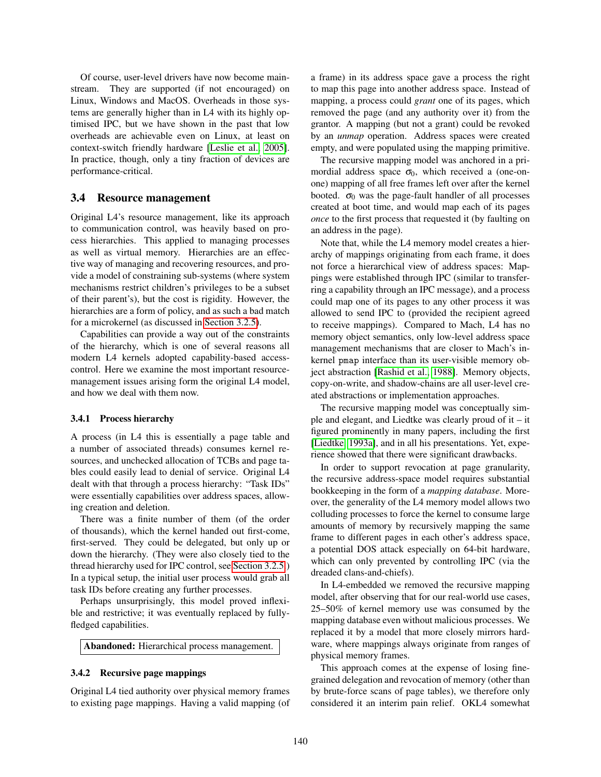Of course, user-level drivers have now become mainstream. They are supported (if not encouraged) on Linux, Windows and MacOS. Overheads in those systems are generally higher than in L4 with its highly optimised IPC, but we have shown in the past that low overheads are achievable even on Linux, at least on context-switch friendly hardware [\[Leslie et al., 2005\]](#page-16-11). In practice, though, only a tiny fraction of devices are performance-critical.

#### 3.4 Resource management

Original L4's resource management, like its approach to communication control, was heavily based on process hierarchies. This applied to managing processes as well as virtual memory. Hierarchies are an effective way of managing and recovering resources, and provide a model of constraining sub-systems (where system mechanisms restrict children's privileges to be a subset of their parent's), but the cost is rigidity. However, the hierarchies are a form of policy, and as such a bad match for a microkernel (as discussed in [Section 3.2.5\)](#page-6-1).

Capabilities can provide a way out of the constraints of the hierarchy, which is one of several reasons all modern L4 kernels adopted capability-based accesscontrol. Here we examine the most important resourcemanagement issues arising form the original L4 model, and how we deal with them now.

#### 3.4.1 Process hierarchy

A process (in L4 this is essentially a page table and a number of associated threads) consumes kernel resources, and unchecked allocation of TCBs and page tables could easily lead to denial of service. Original L4 dealt with that through a process hierarchy: "Task IDs" were essentially capabilities over address spaces, allowing creation and deletion.

There was a finite number of them (of the order of thousands), which the kernel handed out first-come, first-served. They could be delegated, but only up or down the hierarchy. (They were also closely tied to the thread hierarchy used for IPC control, see [Section 3.2.5.](#page-6-1)) In a typical setup, the initial user process would grab all task IDs before creating any further processes.

Perhaps unsurprisingly, this model proved inflexible and restrictive; it was eventually replaced by fullyfledged capabilities.

Abandoned: Hierarchical process management.

#### 3.4.2 Recursive page mappings

Original L4 tied authority over physical memory frames to existing page mappings. Having a valid mapping (of a frame) in its address space gave a process the right to map this page into another address space. Instead of mapping, a process could *grant* one of its pages, which removed the page (and any authority over it) from the grantor. A mapping (but not a grant) could be revoked by an *unmap* operation. Address spaces were created empty, and were populated using the mapping primitive.

The recursive mapping model was anchored in a primordial address space  $\sigma_0$ , which received a (one-onone) mapping of all free frames left over after the kernel booted.  $\sigma_0$  was the page-fault handler of all processes created at boot time, and would map each of its pages *once* to the first process that requested it (by faulting on an address in the page).

Note that, while the L4 memory model creates a hierarchy of mappings originating from each frame, it does not force a hierarchical view of address spaces: Mappings were established through IPC (similar to transferring a capability through an IPC message), and a process could map one of its pages to any other process it was allowed to send IPC to (provided the recipient agreed to receive mappings). Compared to Mach, L4 has no memory object semantics, only low-level address space management mechanisms that are closer to Mach's inkernel pmap interface than its user-visible memory object abstraction [\[Rashid et al., 1988\]](#page-17-3). Memory objects, copy-on-write, and shadow-chains are all user-level created abstractions or implementation approaches.

The recursive mapping model was conceptually simple and elegant, and Liedtke was clearly proud of it – it figured prominently in many papers, including the first [\[Liedtke, 1993a\]](#page-16-0), and in all his presentations. Yet, experience showed that there were significant drawbacks.

In order to support revocation at page granularity, the recursive address-space model requires substantial bookkeeping in the form of a *mapping database*. Moreover, the generality of the L4 memory model allows two colluding processes to force the kernel to consume large amounts of memory by recursively mapping the same frame to different pages in each other's address space, a potential DOS attack especially on 64-bit hardware, which can only prevented by controlling IPC (via the dreaded clans-and-chiefs).

In L4-embedded we removed the recursive mapping model, after observing that for our real-world use cases, 25–50% of kernel memory use was consumed by the mapping database even without malicious processes. We replaced it by a model that more closely mirrors hardware, where mappings always originate from ranges of physical memory frames.

This approach comes at the expense of losing finegrained delegation and revocation of memory (other than by brute-force scans of page tables), we therefore only considered it an interim pain relief. OKL4 somewhat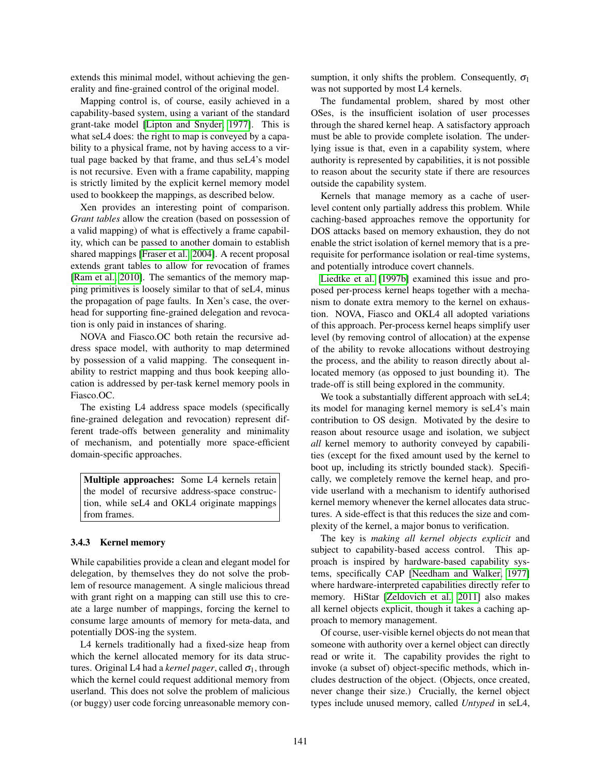extends this minimal model, without achieving the generality and fine-grained control of the original model.

Mapping control is, of course, easily achieved in a capability-based system, using a variant of the standard grant-take model [\[Lipton and Snyder, 1977\]](#page-16-12). This is what seL4 does: the right to map is conveyed by a capability to a physical frame, not by having access to a virtual page backed by that frame, and thus seL4's model is not recursive. Even with a frame capability, mapping is strictly limited by the explicit kernel memory model used to bookkeep the mappings, as described below.

Xen provides an interesting point of comparison. *Grant tables* allow the creation (based on possession of a valid mapping) of what is effectively a frame capability, which can be passed to another domain to establish shared mappings [\[Fraser et al., 2004\]](#page-15-12). A recent proposal extends grant tables to allow for revocation of frames [\[Ram et al., 2010\]](#page-17-4). The semantics of the memory mapping primitives is loosely similar to that of seL4, minus the propagation of page faults. In Xen's case, the overhead for supporting fine-grained delegation and revocation is only paid in instances of sharing.

NOVA and Fiasco.OC both retain the recursive address space model, with authority to map determined by possession of a valid mapping. The consequent inability to restrict mapping and thus book keeping allocation is addressed by per-task kernel memory pools in Fiasco.OC.

The existing L4 address space models (specifically fine-grained delegation and revocation) represent different trade-offs between generality and minimality of mechanism, and potentially more space-efficient domain-specific approaches.

Multiple approaches: Some L4 kernels retain the model of recursive address-space construction, while seL4 and OKL4 originate mappings from frames.

#### 3.4.3 Kernel memory

While capabilities provide a clean and elegant model for delegation, by themselves they do not solve the problem of resource management. A single malicious thread with grant right on a mapping can still use this to create a large number of mappings, forcing the kernel to consume large amounts of memory for meta-data, and potentially DOS-ing the system.

L4 kernels traditionally had a fixed-size heap from which the kernel allocated memory for its data structures. Original L4 had a *kernel pager*, called  $\sigma_1$ , through which the kernel could request additional memory from userland. This does not solve the problem of malicious (or buggy) user code forcing unreasonable memory consumption, it only shifts the problem. Consequently,  $\sigma_1$ was not supported by most L4 kernels.

The fundamental problem, shared by most other OSes, is the insufficient isolation of user processes through the shared kernel heap. A satisfactory approach must be able to provide complete isolation. The underlying issue is that, even in a capability system, where authority is represented by capabilities, it is not possible to reason about the security state if there are resources outside the capability system.

Kernels that manage memory as a cache of userlevel content only partially address this problem. While caching-based approaches remove the opportunity for DOS attacks based on memory exhaustion, they do not enable the strict isolation of kernel memory that is a prerequisite for performance isolation or real-time systems, and potentially introduce covert channels.

[Liedtke et al.](#page-16-8) [\[1997b\]](#page-16-8) examined this issue and proposed per-process kernel heaps together with a mechanism to donate extra memory to the kernel on exhaustion. NOVA, Fiasco and OKL4 all adopted variations of this approach. Per-process kernel heaps simplify user level (by removing control of allocation) at the expense of the ability to revoke allocations without destroying the process, and the ability to reason directly about allocated memory (as opposed to just bounding it). The trade-off is still being explored in the community.

We took a substantially different approach with seL4; its model for managing kernel memory is seL4's main contribution to OS design. Motivated by the desire to reason about resource usage and isolation, we subject *all* kernel memory to authority conveyed by capabilities (except for the fixed amount used by the kernel to boot up, including its strictly bounded stack). Specifically, we completely remove the kernel heap, and provide userland with a mechanism to identify authorised kernel memory whenever the kernel allocates data structures. A side-effect is that this reduces the size and complexity of the kernel, a major bonus to verification.

The key is *making all kernel objects explicit* and subject to capability-based access control. This approach is inspired by hardware-based capability systems, specifically CAP [\[Needham and Walker, 1977\]](#page-16-13) where hardware-interpreted capabilities directly refer to memory. HiStar [\[Zeldovich et al., 2011\]](#page-17-5) also makes all kernel objects explicit, though it takes a caching approach to memory management.

Of course, user-visible kernel objects do not mean that someone with authority over a kernel object can directly read or write it. The capability provides the right to invoke (a subset of) object-specific methods, which includes destruction of the object. (Objects, once created, never change their size.) Crucially, the kernel object types include unused memory, called *Untyped* in seL4,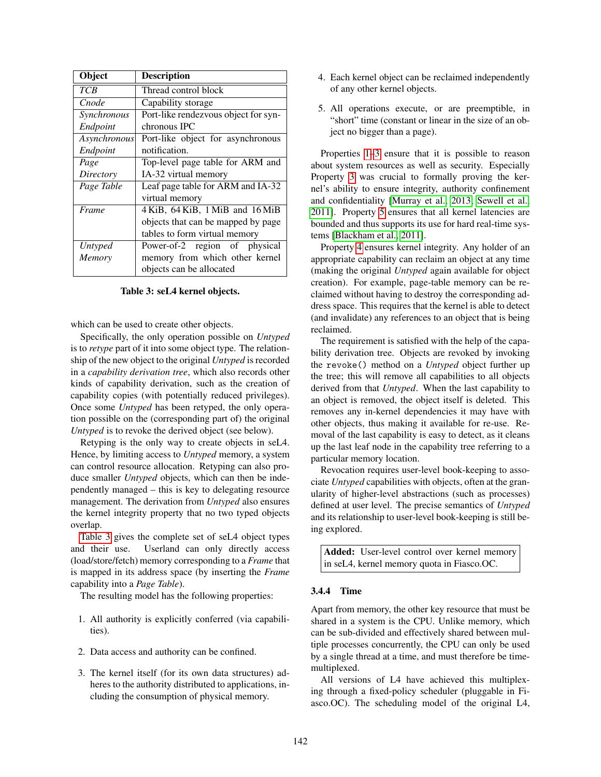<span id="page-9-0"></span>

| Object       | <b>Description</b>                   |
|--------------|--------------------------------------|
| <b>TCB</b>   | Thread control block                 |
| Cnode        | Capability storage                   |
| Synchronous  | Port-like rendezvous object for syn- |
| Endpoint     | chronous IPC                         |
| Asynchronous | Port-like object for asynchronous    |
| Endpoint     | notification.                        |
| Page         | Top-level page table for ARM and     |
| Directory    | IA-32 virtual memory                 |
| Page Table   | Leaf page table for ARM and IA-32    |
|              | virtual memory                       |
| Frame        | 4 KiB, 64 KiB, 1 MiB and 16 MiB      |
|              | objects that can be mapped by page   |
|              | tables to form virtual memory        |
| Untyped      | Power-of-2 region of physical        |
| Memory       | memory from which other kernel       |
|              | objects can be allocated             |

#### Table 3: seL4 kernel objects.

which can be used to create other objects.

Specifically, the only operation possible on *Untyped* is to *retype* part of it into some object type. The relationship of the new object to the original *Untyped* is recorded in a *capability derivation tree*, which also records other kinds of capability derivation, such as the creation of capability copies (with potentially reduced privileges). Once some *Untyped* has been retyped, the only operation possible on the (corresponding part of) the original *Untyped* is to revoke the derived object (see below).

Retyping is the only way to create objects in seL4. Hence, by limiting access to *Untyped* memory, a system can control resource allocation. Retyping can also produce smaller *Untyped* objects, which can then be independently managed – this is key to delegating resource management. The derivation from *Untyped* also ensures the kernel integrity property that no two typed objects overlap.

[Table 3](#page-9-0) gives the complete set of seL4 object types and their use. Userland can only directly access (load/store/fetch) memory corresponding to a *Frame* that is mapped in its address space (by inserting the *Frame* capability into a *Page Table*).

The resulting model has the following properties:

- <span id="page-9-1"></span>1. All authority is explicitly conferred (via capabilities).
- 2. Data access and authority can be confined.
- <span id="page-9-4"></span><span id="page-9-2"></span>3. The kernel itself (for its own data structures) adheres to the authority distributed to applications, including the consumption of physical memory.
- 4. Each kernel object can be reclaimed independently of any other kernel objects.
- <span id="page-9-3"></span>5. All operations execute, or are preemptible, in "short" time (constant or linear in the size of an object no bigger than a page).

Properties [1–](#page-9-1)[3](#page-9-2) ensure that it is possible to reason about system resources as well as security. Especially Property [3](#page-9-2) was crucial to formally proving the kernel's ability to ensure integrity, authority confinement and confidentiality [\[Murray et al., 2013;](#page-16-14) [Sewell et al.,](#page-17-6) [2011\]](#page-17-6). Property [5](#page-9-3) ensures that all kernel latencies are bounded and thus supports its use for hard real-time systems [\[Blackham et al., 2011\]](#page-15-8).

Property [4](#page-9-4) ensures kernel integrity. Any holder of an appropriate capability can reclaim an object at any time (making the original *Untyped* again available for object creation). For example, page-table memory can be reclaimed without having to destroy the corresponding address space. This requires that the kernel is able to detect (and invalidate) any references to an object that is being reclaimed.

The requirement is satisfied with the help of the capability derivation tree. Objects are revoked by invoking the revoke() method on a *Untyped* object further up the tree; this will remove all capabilities to all objects derived from that *Untyped*. When the last capability to an object is removed, the object itself is deleted. This removes any in-kernel dependencies it may have with other objects, thus making it available for re-use. Removal of the last capability is easy to detect, as it cleans up the last leaf node in the capability tree referring to a particular memory location.

Revocation requires user-level book-keeping to associate *Untyped* capabilities with objects, often at the granularity of higher-level abstractions (such as processes) defined at user level. The precise semantics of *Untyped* and its relationship to user-level book-keeping is still being explored.

Added: User-level control over kernel memory in seL4, kernel memory quota in Fiasco.OC.

#### 3.4.4 Time

Apart from memory, the other key resource that must be shared in a system is the CPU. Unlike memory, which can be sub-divided and effectively shared between multiple processes concurrently, the CPU can only be used by a single thread at a time, and must therefore be timemultiplexed.

All versions of L4 have achieved this multiplexing through a fixed-policy scheduler (pluggable in Fiasco.OC). The scheduling model of the original L4,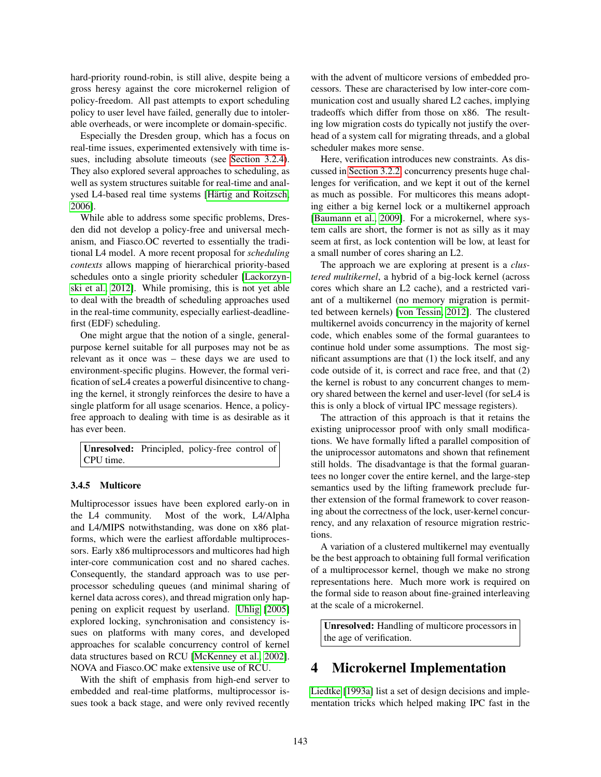hard-priority round-robin, is still alive, despite being a gross heresy against the core microkernel religion of policy-freedom. All past attempts to export scheduling policy to user level have failed, generally due to intolerable overheads, or were incomplete or domain-specific.

Especially the Dresden group, which has a focus on real-time issues, experimented extensively with time issues, including absolute timeouts (see [Section 3.2.4\)](#page-5-1). They also explored several approaches to scheduling, as well as system structures suitable for real-time and analysed L4-based real time systems [Härtig and Roitzsch, [2006\]](#page-15-9).

While able to address some specific problems, Dresden did not develop a policy-free and universal mechanism, and Fiasco.OC reverted to essentially the traditional L4 model. A more recent proposal for *scheduling contexts* allows mapping of hierarchical priority-based schedules onto a single priority scheduler [\[Lackorzyn](#page-16-15)[ski et al., 2012\]](#page-16-15). While promising, this is not yet able to deal with the breadth of scheduling approaches used in the real-time community, especially earliest-deadlinefirst (EDF) scheduling.

One might argue that the notion of a single, generalpurpose kernel suitable for all purposes may not be as relevant as it once was – these days we are used to environment-specific plugins. However, the formal verification of seL4 creates a powerful disincentive to changing the kernel, it strongly reinforces the desire to have a single platform for all usage scenarios. Hence, a policyfree approach to dealing with time is as desirable as it has ever been.

Unresolved: Principled, policy-free control of CPU time.

#### 3.4.5 Multicore

Multiprocessor issues have been explored early-on in the L4 community. Most of the work, L4/Alpha and L4/MIPS notwithstanding, was done on x86 platforms, which were the earliest affordable multiprocessors. Early x86 multiprocessors and multicores had high inter-core communication cost and no shared caches. Consequently, the standard approach was to use perprocessor scheduling queues (and minimal sharing of kernel data across cores), and thread migration only happening on explicit request by userland. [Uhlig](#page-17-7) [\[2005\]](#page-17-7) explored locking, synchronisation and consistency issues on platforms with many cores, and developed approaches for scalable concurrency control of kernel data structures based on RCU [\[McKenney et al., 2002\]](#page-16-16). NOVA and Fiasco.OC make extensive use of RCU.

With the shift of emphasis from high-end server to embedded and real-time platforms, multiprocessor issues took a back stage, and were only revived recently

with the advent of multicore versions of embedded processors. These are characterised by low inter-core communication cost and usually shared L2 caches, implying tradeoffs which differ from those on x86. The resulting low migration costs do typically not justify the overhead of a system call for migrating threads, and a global scheduler makes more sense.

Here, verification introduces new constraints. As discussed in [Section 3.2.2,](#page-4-0) concurrency presents huge challenges for verification, and we kept it out of the kernel as much as possible. For multicores this means adopting either a big kernel lock or a multikernel approach [\[Baumann et al., 2009\]](#page-15-3). For a microkernel, where system calls are short, the former is not as silly as it may seem at first, as lock contention will be low, at least for a small number of cores sharing an L2.

The approach we are exploring at present is a *clustered multikernel*, a hybrid of a big-lock kernel (across cores which share an L2 cache), and a restricted variant of a multikernel (no memory migration is permitted between kernels) [\[von Tessin, 2012\]](#page-17-8). The clustered multikernel avoids concurrency in the majority of kernel code, which enables some of the formal guarantees to continue hold under some assumptions. The most significant assumptions are that (1) the lock itself, and any code outside of it, is correct and race free, and that (2) the kernel is robust to any concurrent changes to memory shared between the kernel and user-level (for seL4 is this is only a block of virtual IPC message registers).

The attraction of this approach is that it retains the existing uniprocessor proof with only small modifications. We have formally lifted a parallel composition of the uniprocessor automatons and shown that refinement still holds. The disadvantage is that the formal guarantees no longer cover the entire kernel, and the large-step semantics used by the lifting framework preclude further extension of the formal framework to cover reasoning about the correctness of the lock, user-kernel concurrency, and any relaxation of resource migration restrictions.

A variation of a clustered multikernel may eventually be the best approach to obtaining full formal verification of a multiprocessor kernel, though we make no strong representations here. Much more work is required on the formal side to reason about fine-grained interleaving at the scale of a microkernel.

Unresolved: Handling of multicore processors in the age of verification.

# 4 Microkernel Implementation

[Liedtke](#page-16-0) [\[1993a\]](#page-16-0) list a set of design decisions and implementation tricks which helped making IPC fast in the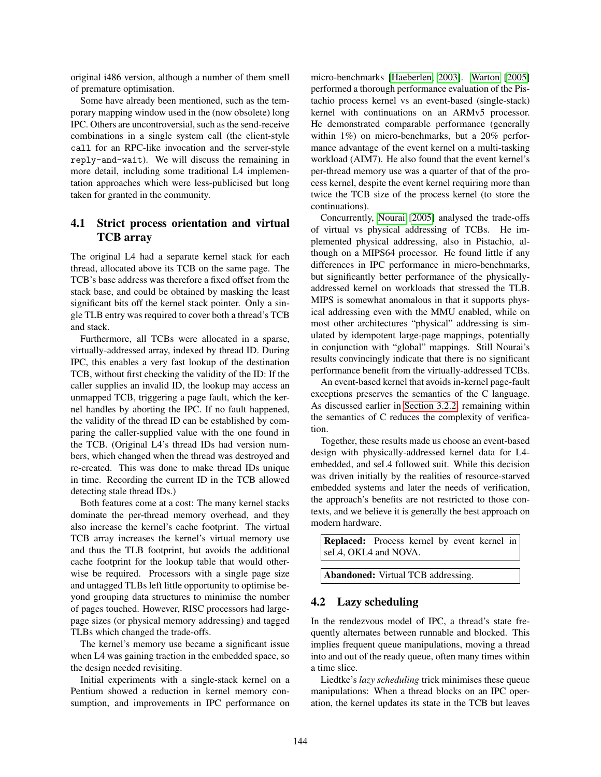original i486 version, although a number of them smell of premature optimisation.

Some have already been mentioned, such as the temporary mapping window used in the (now obsolete) long IPC. Others are uncontroversial, such as the send-receive combinations in a single system call (the client-style call for an RPC-like invocation and the server-style reply-and-wait). We will discuss the remaining in more detail, including some traditional L4 implementation approaches which were less-publicised but long taken for granted in the community.

### 4.1 Strict process orientation and virtual TCB array

The original L4 had a separate kernel stack for each thread, allocated above its TCB on the same page. The TCB's base address was therefore a fixed offset from the stack base, and could be obtained by masking the least significant bits off the kernel stack pointer. Only a single TLB entry was required to cover both a thread's TCB and stack.

Furthermore, all TCBs were allocated in a sparse, virtually-addressed array, indexed by thread ID. During IPC, this enables a very fast lookup of the destination TCB, without first checking the validity of the ID: If the caller supplies an invalid ID, the lookup may access an unmapped TCB, triggering a page fault, which the kernel handles by aborting the IPC. If no fault happened, the validity of the thread ID can be established by comparing the caller-supplied value with the one found in the TCB. (Original L4's thread IDs had version numbers, which changed when the thread was destroyed and re-created. This was done to make thread IDs unique in time. Recording the current ID in the TCB allowed detecting stale thread IDs.)

Both features come at a cost: The many kernel stacks dominate the per-thread memory overhead, and they also increase the kernel's cache footprint. The virtual TCB array increases the kernel's virtual memory use and thus the TLB footprint, but avoids the additional cache footprint for the lookup table that would otherwise be required. Processors with a single page size and untagged TLBs left little opportunity to optimise beyond grouping data structures to minimise the number of pages touched. However, RISC processors had largepage sizes (or physical memory addressing) and tagged TLBs which changed the trade-offs.

The kernel's memory use became a significant issue when L4 was gaining traction in the embedded space, so the design needed revisiting.

Initial experiments with a single-stack kernel on a Pentium showed a reduction in kernel memory consumption, and improvements in IPC performance on micro-benchmarks [\[Haeberlen, 2003\]](#page-15-13). [Warton](#page-17-9) [\[2005\]](#page-17-9) performed a thorough performance evaluation of the Pistachio process kernel vs an event-based (single-stack) kernel with continuations on an ARMv5 processor. He demonstrated comparable performance (generally within 1%) on micro-benchmarks, but a 20% performance advantage of the event kernel on a multi-tasking workload (AIM7). He also found that the event kernel's per-thread memory use was a quarter of that of the process kernel, despite the event kernel requiring more than twice the TCB size of the process kernel (to store the continuations).

Concurrently, [Nourai](#page-16-17) [\[2005\]](#page-16-17) analysed the trade-offs of virtual vs physical addressing of TCBs. He implemented physical addressing, also in Pistachio, although on a MIPS64 processor. He found little if any differences in IPC performance in micro-benchmarks, but significantly better performance of the physicallyaddressed kernel on workloads that stressed the TLB. MIPS is somewhat anomalous in that it supports physical addressing even with the MMU enabled, while on most other architectures "physical" addressing is simulated by idempotent large-page mappings, potentially in conjunction with "global" mappings. Still Nourai's results convincingly indicate that there is no significant performance benefit from the virtually-addressed TCBs.

An event-based kernel that avoids in-kernel page-fault exceptions preserves the semantics of the C language. As discussed earlier in [Section 3.2.2,](#page-4-0) remaining within the semantics of C reduces the complexity of verification.

Together, these results made us choose an event-based design with physically-addressed kernel data for L4 embedded, and seL4 followed suit. While this decision was driven initially by the realities of resource-starved embedded systems and later the needs of verification, the approach's benefits are not restricted to those contexts, and we believe it is generally the best approach on modern hardware.

Replaced: Process kernel by event kernel in seL4, OKL4 and NOVA.

Abandoned: Virtual TCB addressing.

### <span id="page-11-0"></span>4.2 Lazy scheduling

In the rendezvous model of IPC, a thread's state frequently alternates between runnable and blocked. This implies frequent queue manipulations, moving a thread into and out of the ready queue, often many times within a time slice.

Liedtke's *lazy scheduling* trick minimises these queue manipulations: When a thread blocks on an IPC operation, the kernel updates its state in the TCB but leaves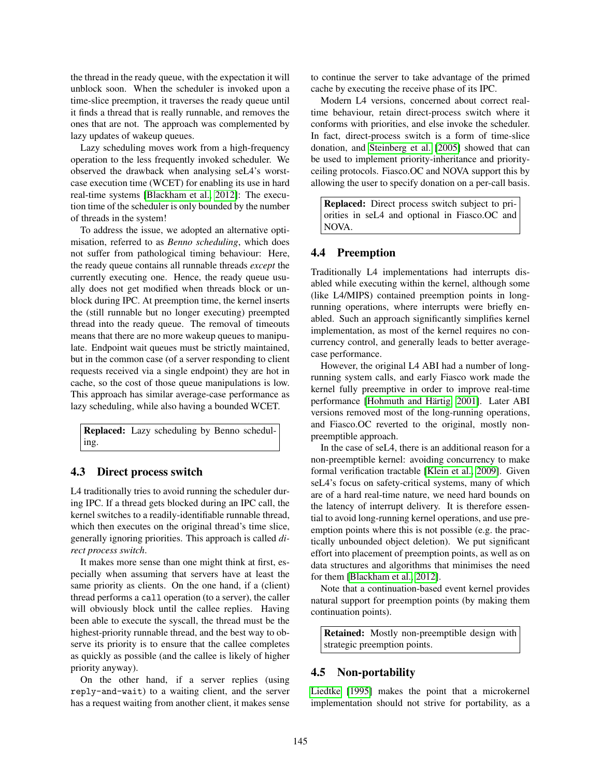the thread in the ready queue, with the expectation it will unblock soon. When the scheduler is invoked upon a time-slice preemption, it traverses the ready queue until it finds a thread that is really runnable, and removes the ones that are not. The approach was complemented by lazy updates of wakeup queues.

Lazy scheduling moves work from a high-frequency operation to the less frequently invoked scheduler. We observed the drawback when analysing seL4's worstcase execution time (WCET) for enabling its use in hard real-time systems [\[Blackham et al., 2012\]](#page-15-14): The execution time of the scheduler is only bounded by the number of threads in the system!

To address the issue, we adopted an alternative optimisation, referred to as *Benno scheduling*, which does not suffer from pathological timing behaviour: Here, the ready queue contains all runnable threads *except* the currently executing one. Hence, the ready queue usually does not get modified when threads block or unblock during IPC. At preemption time, the kernel inserts the (still runnable but no longer executing) preempted thread into the ready queue. The removal of timeouts means that there are no more wakeup queues to manipulate. Endpoint wait queues must be strictly maintained, but in the common case (of a server responding to client requests received via a single endpoint) they are hot in cache, so the cost of those queue manipulations is low. This approach has similar average-case performance as lazy scheduling, while also having a bounded WCET.

Replaced: Lazy scheduling by Benno scheduling.

### <span id="page-12-0"></span>4.3 Direct process switch

L4 traditionally tries to avoid running the scheduler during IPC. If a thread gets blocked during an IPC call, the kernel switches to a readily-identifiable runnable thread, which then executes on the original thread's time slice, generally ignoring priorities. This approach is called *direct process switch*.

It makes more sense than one might think at first, especially when assuming that servers have at least the same priority as clients. On the one hand, if a (client) thread performs a call operation (to a server), the caller will obviously block until the callee replies. Having been able to execute the syscall, the thread must be the highest-priority runnable thread, and the best way to observe its priority is to ensure that the callee completes as quickly as possible (and the callee is likely of higher priority anyway).

On the other hand, if a server replies (using reply-and-wait) to a waiting client, and the server has a request waiting from another client, it makes sense to continue the server to take advantage of the primed cache by executing the receive phase of its IPC.

Modern L4 versions, concerned about correct realtime behaviour, retain direct-process switch where it conforms with priorities, and else invoke the scheduler. In fact, direct-process switch is a form of time-slice donation, and [Steinberg et al.](#page-17-10) [\[2005\]](#page-17-10) showed that can be used to implement priority-inheritance and priorityceiling protocols. Fiasco.OC and NOVA support this by allowing the user to specify donation on a per-call basis.

Replaced: Direct process switch subject to priorities in seL4 and optional in Fiasco.OC and NOVA.

### 4.4 Preemption

Traditionally L4 implementations had interrupts disabled while executing within the kernel, although some (like L4/MIPS) contained preemption points in longrunning operations, where interrupts were briefly enabled. Such an approach significantly simplifies kernel implementation, as most of the kernel requires no concurrency control, and generally leads to better averagecase performance.

However, the original L4 ABI had a number of longrunning system calls, and early Fiasco work made the kernel fully preemptive in order to improve real-time performance [Hohmuth and Härtig, 2001]. Later ABI versions removed most of the long-running operations, and Fiasco.OC reverted to the original, mostly nonpreemptible approach.

In the case of seL4, there is an additional reason for a non-preemptible kernel: avoiding concurrency to make formal verification tractable [\[Klein et al., 2009\]](#page-16-4). Given seL4's focus on safety-critical systems, many of which are of a hard real-time nature, we need hard bounds on the latency of interrupt delivery. It is therefore essential to avoid long-running kernel operations, and use preemption points where this is not possible (e.g. the practically unbounded object deletion). We put significant effort into placement of preemption points, as well as on data structures and algorithms that minimises the need for them [\[Blackham et al., 2012\]](#page-15-14).

Note that a continuation-based event kernel provides natural support for preemption points (by making them continuation points).

Retained: Mostly non-preemptible design with strategic preemption points.

#### 4.5 Non-portability

[Liedtke](#page-16-2) [\[1995\]](#page-16-2) makes the point that a microkernel implementation should not strive for portability, as a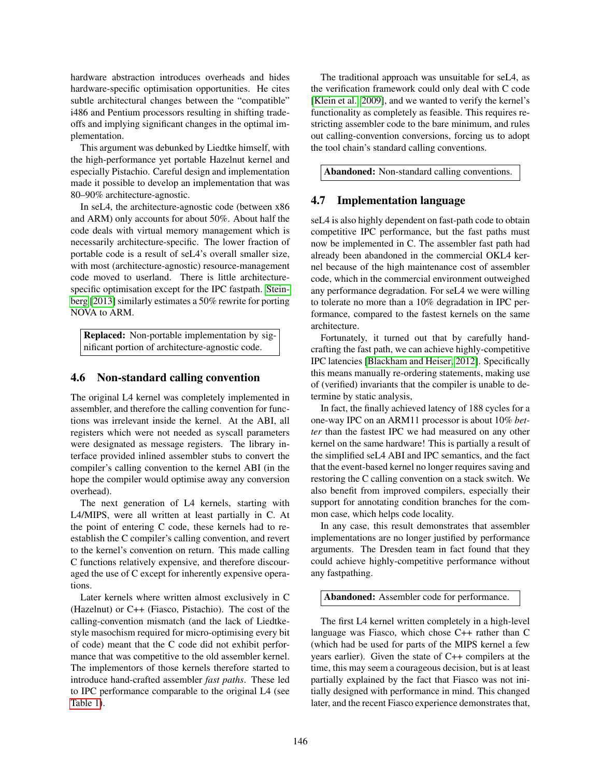hardware abstraction introduces overheads and hides hardware-specific optimisation opportunities. He cites subtle architectural changes between the "compatible" i486 and Pentium processors resulting in shifting tradeoffs and implying significant changes in the optimal implementation.

This argument was debunked by Liedtke himself, with the high-performance yet portable Hazelnut kernel and especially Pistachio. Careful design and implementation made it possible to develop an implementation that was 80–90% architecture-agnostic.

In seL4, the architecture-agnostic code (between x86 and ARM) only accounts for about 50%. About half the code deals with virtual memory management which is necessarily architecture-specific. The lower fraction of portable code is a result of seL4's overall smaller size, with most (architecture-agnostic) resource-management code moved to userland. There is little architecturespecific optimisation except for the IPC fastpath. [Stein](#page-17-11)[berg](#page-17-11) [\[2013\]](#page-17-11) similarly estimates a 50% rewrite for porting NOVA to ARM.

Replaced: Non-portable implementation by significant portion of architecture-agnostic code.

#### 4.6 Non-standard calling convention

The original L4 kernel was completely implemented in assembler, and therefore the calling convention for functions was irrelevant inside the kernel. At the ABI, all registers which were not needed as syscall parameters were designated as message registers. The library interface provided inlined assembler stubs to convert the compiler's calling convention to the kernel ABI (in the hope the compiler would optimise away any conversion overhead).

The next generation of L4 kernels, starting with L4/MIPS, were all written at least partially in C. At the point of entering C code, these kernels had to reestablish the C compiler's calling convention, and revert to the kernel's convention on return. This made calling C functions relatively expensive, and therefore discouraged the use of C except for inherently expensive operations.

Later kernels where written almost exclusively in C (Hazelnut) or C++ (Fiasco, Pistachio). The cost of the calling-convention mismatch (and the lack of Liedtkestyle masochism required for micro-optimising every bit of code) meant that the C code did not exhibit performance that was competitive to the old assembler kernel. The implementors of those kernels therefore started to introduce hand-crafted assembler *fast paths*. These led to IPC performance comparable to the original L4 (see [Table 1\)](#page-2-2).

The traditional approach was unsuitable for seL4, as the verification framework could only deal with C code [\[Klein et al., 2009\]](#page-16-4), and we wanted to verify the kernel's functionality as completely as feasible. This requires restricting assembler code to the bare minimum, and rules out calling-convention conversions, forcing us to adopt the tool chain's standard calling conventions.

Abandoned: Non-standard calling conventions.

#### 4.7 Implementation language

seL4 is also highly dependent on fast-path code to obtain competitive IPC performance, but the fast paths must now be implemented in C. The assembler fast path had already been abandoned in the commercial OKL4 kernel because of the high maintenance cost of assembler code, which in the commercial environment outweighed any performance degradation. For seL4 we were willing to tolerate no more than a 10% degradation in IPC performance, compared to the fastest kernels on the same architecture.

Fortunately, it turned out that by carefully handcrafting the fast path, we can achieve highly-competitive IPC latencies [\[Blackham and Heiser, 2012\]](#page-15-16). Specifically this means manually re-ordering statements, making use of (verified) invariants that the compiler is unable to determine by static analysis,

In fact, the finally achieved latency of 188 cycles for a one-way IPC on an ARM11 processor is about 10% *better* than the fastest IPC we had measured on any other kernel on the same hardware! This is partially a result of the simplified seL4 ABI and IPC semantics, and the fact that the event-based kernel no longer requires saving and restoring the C calling convention on a stack switch. We also benefit from improved compilers, especially their support for annotating condition branches for the common case, which helps code locality.

In any case, this result demonstrates that assembler implementations are no longer justified by performance arguments. The Dresden team in fact found that they could achieve highly-competitive performance without any fastpathing.

Abandoned: Assembler code for performance.

The first L4 kernel written completely in a high-level language was Fiasco, which chose C++ rather than C (which had be used for parts of the MIPS kernel a few years earlier). Given the state of C++ compilers at the time, this may seem a courageous decision, but is at least partially explained by the fact that Fiasco was not initially designed with performance in mind. This changed later, and the recent Fiasco experience demonstrates that,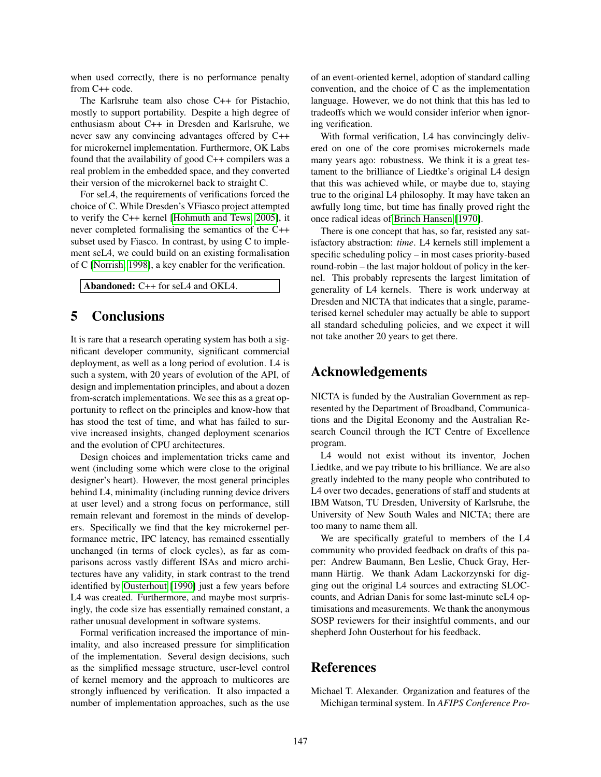when used correctly, there is no performance penalty from C++ code.

The Karlsruhe team also chose C++ for Pistachio, mostly to support portability. Despite a high degree of enthusiasm about C++ in Dresden and Karlsruhe, we never saw any convincing advantages offered by C++ for microkernel implementation. Furthermore, OK Labs found that the availability of good C++ compilers was a real problem in the embedded space, and they converted their version of the microkernel back to straight C.

For seL4, the requirements of verifications forced the choice of C. While Dresden's VFiasco project attempted to verify the C++ kernel [\[Hohmuth and Tews, 2005\]](#page-15-17), it never completed formalising the semantics of the C++ subset used by Fiasco. In contrast, by using C to implement seL4, we could build on an existing formalisation of C [\[Norrish, 1998\]](#page-16-18), a key enabler for the verification.

Abandoned: C++ for seL4 and OKL4.

# 5 Conclusions

It is rare that a research operating system has both a significant developer community, significant commercial deployment, as well as a long period of evolution. L4 is such a system, with 20 years of evolution of the API, of design and implementation principles, and about a dozen from-scratch implementations. We see this as a great opportunity to reflect on the principles and know-how that has stood the test of time, and what has failed to survive increased insights, changed deployment scenarios and the evolution of CPU architectures.

Design choices and implementation tricks came and went (including some which were close to the original designer's heart). However, the most general principles behind L4, minimality (including running device drivers at user level) and a strong focus on performance, still remain relevant and foremost in the minds of developers. Specifically we find that the key microkernel performance metric, IPC latency, has remained essentially unchanged (in terms of clock cycles), as far as comparisons across vastly different ISAs and micro architectures have any validity, in stark contrast to the trend identified by [Ousterhout](#page-16-19) [\[1990\]](#page-16-19) just a few years before L4 was created. Furthermore, and maybe most surprisingly, the code size has essentially remained constant, a rather unusual development in software systems.

Formal verification increased the importance of minimality, and also increased pressure for simplification of the implementation. Several design decisions, such as the simplified message structure, user-level control of kernel memory and the approach to multicores are strongly influenced by verification. It also impacted a number of implementation approaches, such as the use of an event-oriented kernel, adoption of standard calling convention, and the choice of C as the implementation language. However, we do not think that this has led to tradeoffs which we would consider inferior when ignoring verification.

With formal verification, L4 has convincingly delivered on one of the core promises microkernels made many years ago: robustness. We think it is a great testament to the brilliance of Liedtke's original L4 design that this was achieved while, or maybe due to, staying true to the original L4 philosophy. It may have taken an awfully long time, but time has finally proved right the once radical ideas of [Brinch Hansen](#page-15-18) [\[1970\]](#page-15-18).

There is one concept that has, so far, resisted any satisfactory abstraction: *time*. L4 kernels still implement a specific scheduling policy – in most cases priority-based round-robin – the last major holdout of policy in the kernel. This probably represents the largest limitation of generality of L4 kernels. There is work underway at Dresden and NICTA that indicates that a single, parameterised kernel scheduler may actually be able to support all standard scheduling policies, and we expect it will not take another 20 years to get there.

# Acknowledgements

NICTA is funded by the Australian Government as represented by the Department of Broadband, Communications and the Digital Economy and the Australian Research Council through the ICT Centre of Excellence program.

L4 would not exist without its inventor, Jochen Liedtke, and we pay tribute to his brilliance. We are also greatly indebted to the many people who contributed to L4 over two decades, generations of staff and students at IBM Watson, TU Dresden, University of Karlsruhe, the University of New South Wales and NICTA; there are too many to name them all.

We are specifically grateful to members of the L4 community who provided feedback on drafts of this paper: Andrew Baumann, Ben Leslie, Chuck Gray, Hermann Härtig. We thank Adam Lackorzynski for digging out the original L4 sources and extracting SLOCcounts, and Adrian Danis for some last-minute seL4 optimisations and measurements. We thank the anonymous SOSP reviewers for their insightful comments, and our shepherd John Ousterhout for his feedback.

# References

<span id="page-14-0"></span>Michael T. Alexander. Organization and features of the Michigan terminal system. In *AFIPS Conference Pro-*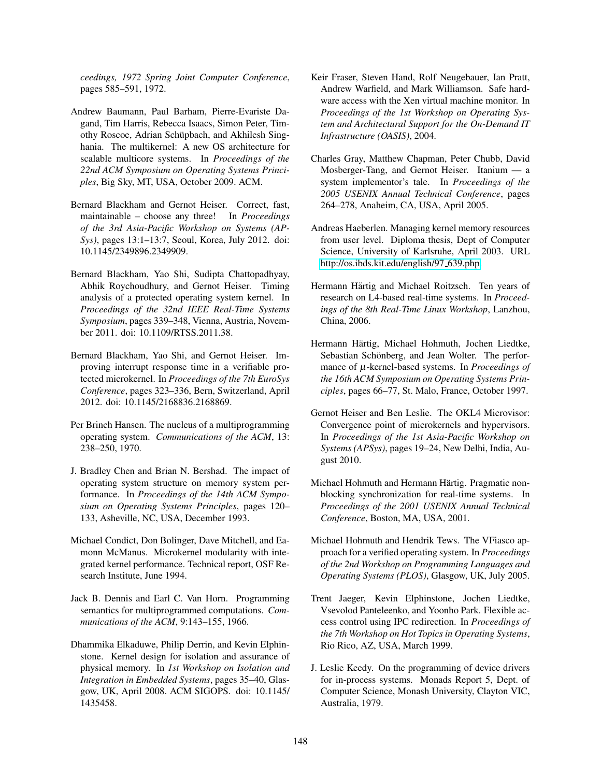*ceedings, 1972 Spring Joint Computer Conference*, pages 585–591, 1972.

- <span id="page-15-3"></span>Andrew Baumann, Paul Barham, Pierre-Evariste Dagand, Tim Harris, Rebecca Isaacs, Simon Peter, Timothy Roscoe, Adrian Schüpbach, and Akhilesh Singhania. The multikernel: A new OS architecture for scalable multicore systems. In *Proceedings of the 22nd ACM Symposium on Operating Systems Principles*, Big Sky, MT, USA, October 2009. ACM.
- <span id="page-15-16"></span>Bernard Blackham and Gernot Heiser. Correct, fast, maintainable – choose any three! In *Proceedings of the 3rd Asia-Pacific Workshop on Systems (AP-Sys)*, pages 13:1–13:7, Seoul, Korea, July 2012. doi: 10.1145/2349896.2349909.
- <span id="page-15-8"></span>Bernard Blackham, Yao Shi, Sudipta Chattopadhyay, Abhik Roychoudhury, and Gernot Heiser. Timing analysis of a protected operating system kernel. In *Proceedings of the 32nd IEEE Real-Time Systems Symposium*, pages 339–348, Vienna, Austria, November 2011. doi: 10.1109/RTSS.2011.38.
- <span id="page-15-14"></span>Bernard Blackham, Yao Shi, and Gernot Heiser. Improving interrupt response time in a verifiable protected microkernel. In *Proceedings of the 7th EuroSys Conference*, pages 323–336, Bern, Switzerland, April 2012. doi: 10.1145/2168836.2168869.
- <span id="page-15-18"></span>Per Brinch Hansen. The nucleus of a multiprogramming operating system. *Communications of the ACM*, 13: 238–250, 1970.
- <span id="page-15-1"></span>J. Bradley Chen and Brian N. Bershad. The impact of operating system structure on memory system performance. In *Proceedings of the 14th ACM Symposium on Operating Systems Principles*, pages 120– 133, Asheville, NC, USA, December 1993.
- <span id="page-15-0"></span>Michael Condict, Don Bolinger, Dave Mitchell, and Eamonn McManus. Microkernel modularity with integrated kernel performance. Technical report, OSF Research Institute, June 1994.
- <span id="page-15-5"></span>Jack B. Dennis and Earl C. Van Horn. Programming semantics for multiprogrammed computations. *Communications of the ACM*, 9:143–155, 1966.
- <span id="page-15-7"></span>Dhammika Elkaduwe, Philip Derrin, and Kevin Elphinstone. Kernel design for isolation and assurance of physical memory. In *1st Workshop on Isolation and Integration in Embedded Systems*, pages 35–40, Glasgow, UK, April 2008. ACM SIGOPS. doi: 10.1145/ 1435458.
- <span id="page-15-12"></span>Keir Fraser, Steven Hand, Rolf Neugebauer, Ian Pratt, Andrew Warfield, and Mark Williamson. Safe hardware access with the Xen virtual machine monitor. In *Proceedings of the 1st Workshop on Operating System and Architectural Support for the On-Demand IT Infrastructure (OASIS)*, 2004.
- <span id="page-15-4"></span>Charles Gray, Matthew Chapman, Peter Chubb, David Mosberger-Tang, and Gernot Heiser. Itanium — a system implementor's tale. In *Proceedings of the 2005 USENIX Annual Technical Conference*, pages 264–278, Anaheim, CA, USA, April 2005.
- <span id="page-15-13"></span>Andreas Haeberlen. Managing kernel memory resources from user level. Diploma thesis, Dept of Computer Science, University of Karlsruhe, April 2003. URL [http://os.ibds.kit.edu/english/97](http://os.ibds.kit.edu/english/97_639.php)\_639.php.
- <span id="page-15-9"></span>Hermann Härtig and Michael Roitzsch. Ten years of research on L4-based real-time systems. In *Proceedings of the 8th Real-Time Linux Workshop*, Lanzhou, China, 2006.
- <span id="page-15-2"></span>Hermann Härtig, Michael Hohmuth, Jochen Liedtke, Sebastian Schönberg, and Jean Wolter. The performance of µ-kernel-based systems. In *Proceedings of the 16th ACM Symposium on Operating Systems Principles*, pages 66–77, St. Malo, France, October 1997.
- <span id="page-15-6"></span>Gernot Heiser and Ben Leslie. The OKL4 Microvisor: Convergence point of microkernels and hypervisors. In *Proceedings of the 1st Asia-Pacific Workshop on Systems (APSys)*, pages 19–24, New Delhi, India, August 2010.
- <span id="page-15-15"></span>Michael Hohmuth and Hermann Härtig. Pragmatic nonblocking synchronization for real-time systems. In *Proceedings of the 2001 USENIX Annual Technical Conference*, Boston, MA, USA, 2001.
- <span id="page-15-17"></span>Michael Hohmuth and Hendrik Tews. The VFiasco approach for a verified operating system. In *Proceedings of the 2nd Workshop on Programming Languages and Operating Systems (PLOS)*, Glasgow, UK, July 2005.
- <span id="page-15-10"></span>Trent Jaeger, Kevin Elphinstone, Jochen Liedtke, Vsevolod Panteleenko, and Yoonho Park. Flexible access control using IPC redirection. In *Proceedings of the 7th Workshop on Hot Topics in Operating Systems*, Rio Rico, AZ, USA, March 1999.
- <span id="page-15-11"></span>J. Leslie Keedy. On the programming of device drivers for in-process systems. Monads Report 5, Dept. of Computer Science, Monash University, Clayton VIC, Australia, 1979.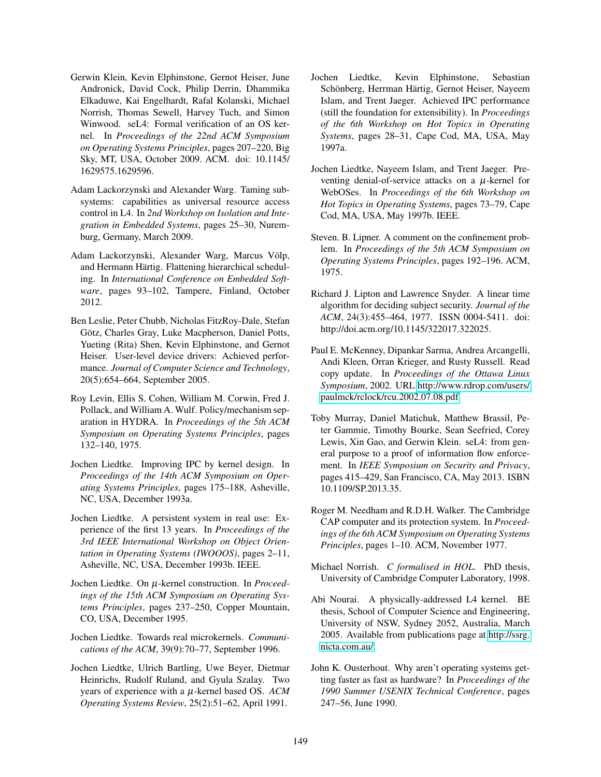- <span id="page-16-4"></span>Gerwin Klein, Kevin Elphinstone, Gernot Heiser, June Andronick, David Cock, Philip Derrin, Dhammika Elkaduwe, Kai Engelhardt, Rafal Kolanski, Michael Norrish, Thomas Sewell, Harvey Tuch, and Simon Winwood. seL4: Formal verification of an OS kernel. In *Proceedings of the 22nd ACM Symposium on Operating Systems Principles*, pages 207–220, Big Sky, MT, USA, October 2009. ACM. doi: 10.1145/ 1629575.1629596.
- <span id="page-16-7"></span>Adam Lackorzynski and Alexander Warg. Taming subsystems: capabilities as universal resource access control in L4. In *2nd Workshop on Isolation and Integration in Embedded Systems*, pages 25–30, Nuremburg, Germany, March 2009.
- <span id="page-16-15"></span>Adam Lackorzynski, Alexander Warg, Marcus Völp, and Hermann Härtig. Flattening hierarchical scheduling. In *International Conference on Embedded Software*, pages 93–102, Tampere, Finland, October 2012.
- <span id="page-16-11"></span>Ben Leslie, Peter Chubb, Nicholas FitzRoy-Dale, Stefan Götz, Charles Gray, Luke Macpherson, Daniel Potts, Yueting (Rita) Shen, Kevin Elphinstone, and Gernot Heiser. User-level device drivers: Achieved performance. *Journal of Computer Science and Technology*, 20(5):654–664, September 2005.
- <span id="page-16-1"></span>Roy Levin, Ellis S. Cohen, William M. Corwin, Fred J. Pollack, and William A. Wulf. Policy/mechanism separation in HYDRA. In *Proceedings of the 5th ACM Symposium on Operating Systems Principles*, pages 132–140, 1975.
- <span id="page-16-0"></span>Jochen Liedtke. Improving IPC by kernel design. In *Proceedings of the 14th ACM Symposium on Operating Systems Principles*, pages 175–188, Asheville, NC, USA, December 1993a.
- <span id="page-16-5"></span>Jochen Liedtke. A persistent system in real use: Experience of the first 13 years. In *Proceedings of the 3rd IEEE International Workshop on Object Orientation in Operating Systems (IWOOOS)*, pages 2–11, Asheville, NC, USA, December 1993b. IEEE.
- <span id="page-16-2"></span>Jochen Liedtke. On µ-kernel construction. In *Proceedings of the 15th ACM Symposium on Operating Systems Principles*, pages 237–250, Copper Mountain, CO, USA, December 1995.
- <span id="page-16-3"></span>Jochen Liedtke. Towards real microkernels. *Communications of the ACM*, 39(9):70–77, September 1996.
- <span id="page-16-10"></span>Jochen Liedtke, Ulrich Bartling, Uwe Beyer, Dietmar Heinrichs, Rudolf Ruland, and Gyula Szalay. Two years of experience with a µ-kernel based OS. *ACM Operating Systems Review*, 25(2):51–62, April 1991.
- <span id="page-16-6"></span>Jochen Liedtke, Kevin Elphinstone, Sebastian Schönberg, Herrman Härtig, Gernot Heiser, Nayeem Islam, and Trent Jaeger. Achieved IPC performance (still the foundation for extensibility). In *Proceedings of the 6th Workshop on Hot Topics in Operating Systems*, pages 28–31, Cape Cod, MA, USA, May 1997a.
- <span id="page-16-8"></span>Jochen Liedtke, Nayeem Islam, and Trent Jaeger. Preventing denial-of-service attacks on a  $\mu$ -kernel for WebOSes. In *Proceedings of the 6th Workshop on Hot Topics in Operating Systems*, pages 73–79, Cape Cod, MA, USA, May 1997b. IEEE.
- <span id="page-16-9"></span>Steven. B. Lipner. A comment on the confinement problem. In *Proceedings of the 5th ACM Symposium on Operating Systems Principles*, pages 192–196. ACM, 1975.
- <span id="page-16-12"></span>Richard J. Lipton and Lawrence Snyder. A linear time algorithm for deciding subject security. *Journal of the ACM*, 24(3):455–464, 1977. ISSN 0004-5411. doi: http://doi.acm.org/10.1145/322017.322025.
- <span id="page-16-16"></span>Paul E. McKenney, Dipankar Sarma, Andrea Arcangelli, Andi Kleen, Orran Krieger, and Rusty Russell. Read copy update. In *Proceedings of the Ottawa Linux Symposium*, 2002. URL [http://www.rdrop.com/users/](http://www.rdrop.com/users/paulmck/rclock/ rcu.2002.07.08.pdf) [paulmck/rclock/rcu.2002.07.08.pdf.](http://www.rdrop.com/users/paulmck/rclock/ rcu.2002.07.08.pdf)
- <span id="page-16-14"></span>Toby Murray, Daniel Matichuk, Matthew Brassil, Peter Gammie, Timothy Bourke, Sean Seefried, Corey Lewis, Xin Gao, and Gerwin Klein. seL4: from general purpose to a proof of information flow enforcement. In *IEEE Symposium on Security and Privacy*, pages 415–429, San Francisco, CA, May 2013. ISBN 10.1109/SP.2013.35.
- <span id="page-16-13"></span>Roger M. Needham and R.D.H. Walker. The Cambridge CAP computer and its protection system. In *Proceedings of the 6th ACM Symposium on Operating Systems Principles*, pages 1–10. ACM, November 1977.
- <span id="page-16-18"></span>Michael Norrish. *C formalised in HOL*. PhD thesis, University of Cambridge Computer Laboratory, 1998.
- <span id="page-16-17"></span>Abi Nourai. A physically-addressed L4 kernel. BE thesis, School of Computer Science and Engineering, University of NSW, Sydney 2052, Australia, March 2005. Available from publications page at [http://ssrg.](http://ssrg.nicta.com.au/) [nicta.com.au/.](http://ssrg.nicta.com.au/)
- <span id="page-16-19"></span>John K. Ousterhout. Why aren't operating systems getting faster as fast as hardware? In *Proceedings of the 1990 Summer USENIX Technical Conference*, pages 247–56, June 1990.